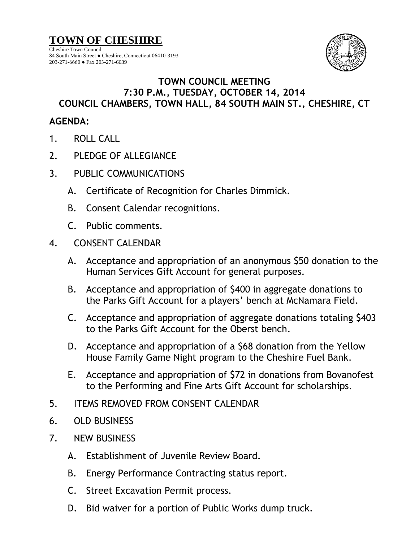**TOWN OF CHESHIRE**

Cheshire Town Council 84 South Main Street ● Cheshire, Connecticut 06410-3193 203-271-6660 ● Fax 203-271-6639



## **TOWN COUNCIL MEETING 7:30 P.M., TUESDAY, OCTOBER 14, 2014 COUNCIL CHAMBERS, TOWN HALL, 84 SOUTH MAIN ST., CHESHIRE, CT**

## **AGENDA:**

- 1. ROLL CALL
- 2. PLEDGE OF ALLEGIANCE
- 3. PUBLIC COMMUNICATIONS
	- A. Certificate of Recognition for Charles Dimmick.
	- B. Consent Calendar recognitions.
	- C. Public comments.
- 4. CONSENT CALENDAR
	- A. Acceptance and appropriation of an anonymous \$50 donation to the Human Services Gift Account for general purposes.
	- B. Acceptance and appropriation of \$400 in aggregate donations to the Parks Gift Account for a players' bench at McNamara Field.
	- C. Acceptance and appropriation of aggregate donations totaling \$403 to the Parks Gift Account for the Oberst bench.
	- D. Acceptance and appropriation of a \$68 donation from the Yellow House Family Game Night program to the Cheshire Fuel Bank.
	- E. Acceptance and appropriation of \$72 in donations from Bovanofest to the Performing and Fine Arts Gift Account for scholarships.
- 5. ITEMS REMOVED FROM CONSENT CALENDAR
- 6. OLD BUSINESS
- 7. NEW BUSINESS
	- A. Establishment of Juvenile Review Board.
	- B. Energy Performance Contracting status report.
	- C. Street Excavation Permit process.
	- D. Bid waiver for a portion of Public Works dump truck.